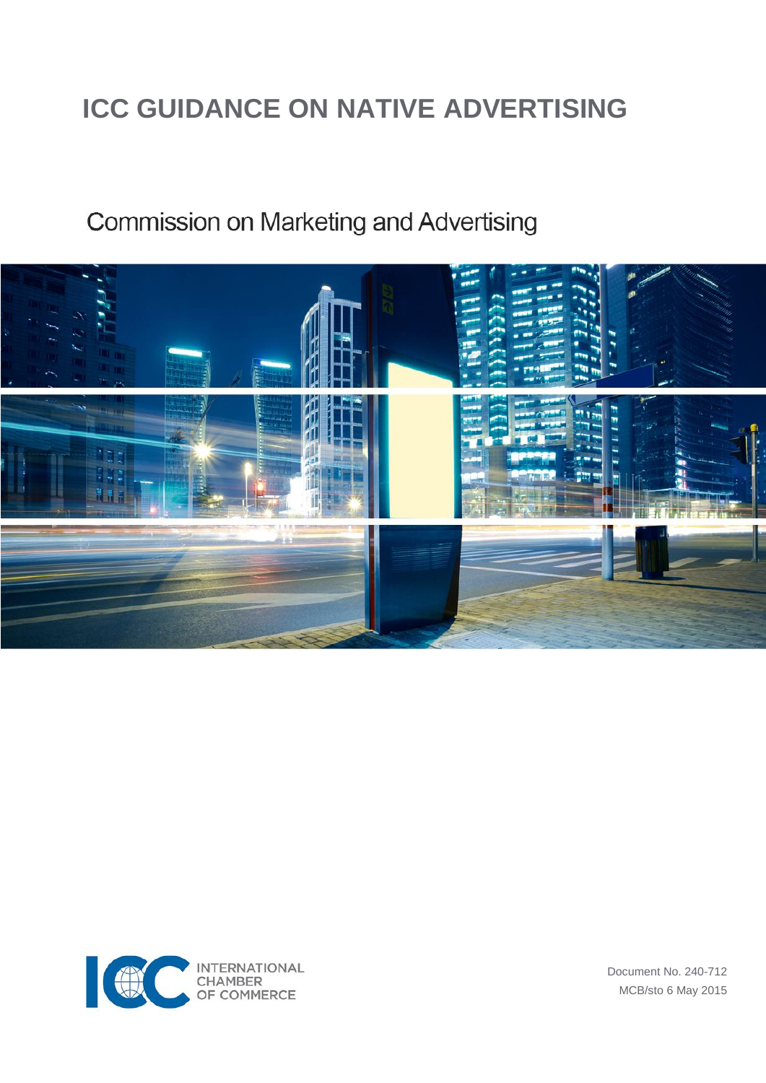## **ICC GUIDANCE ON NATIVE ADVERTISING**

## Commission on Marketing and Advertising





Document No. 240-712 MCB/sto 6 May 2015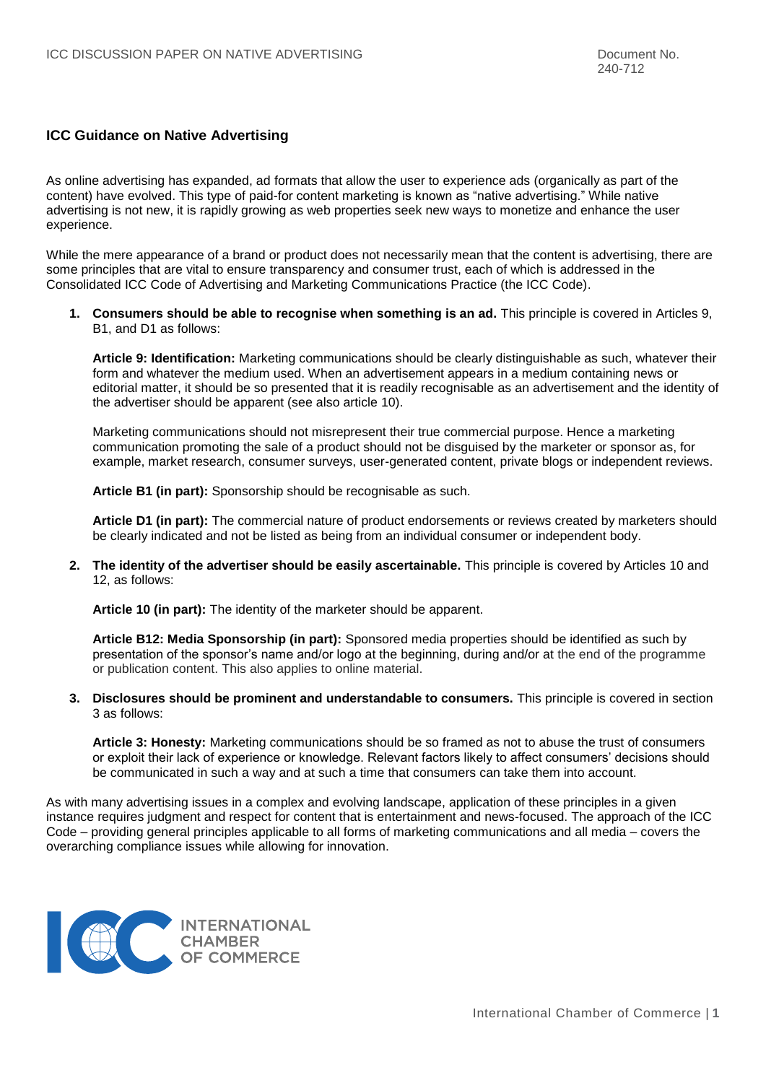## **ICC Guidance on Native Advertising**

As online advertising has expanded, ad formats that allow the user to experience ads (organically as part of the content) have evolved. This type of paid-for content marketing is known as "native advertising." While native advertising is not new, it is rapidly growing as web properties seek new ways to monetize and enhance the user experience.

While the mere appearance of a brand or product does not necessarily mean that the content is advertising, there are some principles that are vital to ensure transparency and consumer trust, each of which is addressed in the Consolidated ICC Code of Advertising and Marketing Communications Practice (the ICC Code).

**1. Consumers should be able to recognise when something is an ad.** This principle is covered in Articles 9, B1, and D1 as follows:

**Article 9: Identification:** Marketing communications should be clearly distinguishable as such, whatever their form and whatever the medium used. When an advertisement appears in a medium containing news or editorial matter, it should be so presented that it is readily recognisable as an advertisement and the identity of the advertiser should be apparent (see also article 10).

Marketing communications should not misrepresent their true commercial purpose. Hence a marketing communication promoting the sale of a product should not be disguised by the marketer or sponsor as, for example, market research, consumer surveys, user-generated content, private blogs or independent reviews.

**Article B1 (in part):** Sponsorship should be recognisable as such.

**Article D1 (in part):** The commercial nature of product endorsements or reviews created by marketers should be clearly indicated and not be listed as being from an individual consumer or independent body.

**2. The identity of the advertiser should be easily ascertainable.** This principle is covered by Articles 10 and 12, as follows:

**Article 10 (in part):** The identity of the marketer should be apparent.

**Article B12: Media Sponsorship (in part):** Sponsored media properties should be identified as such by presentation of the sponsor's name and/or logo at the beginning, during and/or at the end of the programme or publication content. This also applies to online material.

**3. Disclosures should be prominent and understandable to consumers.** This principle is covered in section 3 as follows:

**Article 3: Honesty:** Marketing communications should be so framed as not to abuse the trust of consumers or exploit their lack of experience or knowledge. Relevant factors likely to affect consumers' decisions should be communicated in such a way and at such a time that consumers can take them into account.

As with many advertising issues in a complex and evolving landscape, application of these principles in a given instance requires judgment and respect for content that is entertainment and news-focused. The approach of the ICC Code – providing general principles applicable to all forms of marketing communications and all media – covers the overarching compliance issues while allowing for innovation.